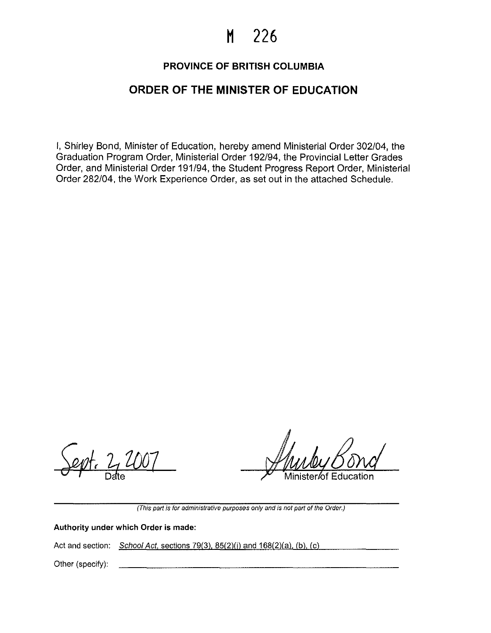# **H 226**

# **PROVINCE OF BRITISH COLUMBIA**

# **ORDER OF THE MINISTER OF EDUCATION**

I, Shirley Bond, Minister of Education, hereby amend Ministerial Order 302/04, the Graduation Program Order, Ministerial Order 192/94, the Provincial Letter Grades Order, and Ministerial Order 191/94, the Student Progress Report Order, Ministerial Order 282/04, the Work Experience Order, as set out in the attached Schedule.

Minister ⁄of Education

**(This part is for administrative purposes only and is not part of the Order.)** 

**Authority under which Order is made:** 

Act and section:  $School Act$ , sections  $79(3)$ ,  $85(2)(i)$  and  $168(2)(a)$ , (b), (c)

Other (specify):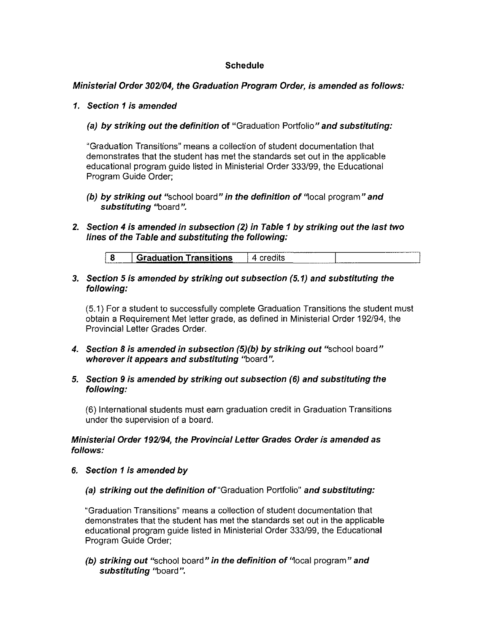# **Schedule**

## **Ministerial Order 302104, the Graduation Program Order, is amended as follows:**

#### **1. Section 1 is amended**

## **(a) by striking out the definition of** "Graduation Portfolio" **and substituting:**

"Graduation Transitions" means a collection of student documentation that demonstrates that the student has met the standards set out in the applicable educational program guide listed in Ministerial Order 333/99, the Educational Program Guide Order;

- **(b) by striking out** "school board" **in the definition of** '1ocal program" **and substituting** "board".
- **2. Section 4 is amended in subsection (2) in Table 1 by striking out the last two lines of the Table and substituting the following:**

|                    |                               | The property company for the company's the full state and |
|--------------------|-------------------------------|-----------------------------------------------------------|
| ------------------ | <b>Graduation Transitions</b> | ____<br>------                                            |

#### **3. Section 5 is amended by striking out subsection (5.1) and substituting the following:**

(5.1) For a student to successfully complete Graduation Transitions the student must obtain a Requirement Met letter grade, as defined in Ministerial Order 192/94, the Provincial Letter Grades Order.

- **4. Section 8 is amended in subsection (5)(b) by striking out** "school board" **wherever it appears and substituting** "board".
- **5. Section 9 is amended by striking out subsection (6) and substituting the following:**

(6) International students must earn graduation credit in Graduation Transitions under the supervision of a board.

#### **Ministerial Order 192194, the Provincial Letter Grades Order is amended as follows:**

- **6. Section 1 is amended by** 
	- **(a) striking out the definition** of"Graduation Portfolio" **and substituting:**

"Graduation Transitions" means a collection of student documentation that demonstrates that the student has met the standards set out in the applicable educational program guide listed in Ministerial Order 333/99, the Educational Program Guide Order;

**(b) striking out** "school board" **in the definition of** '1ocal program" **and substituting** "board".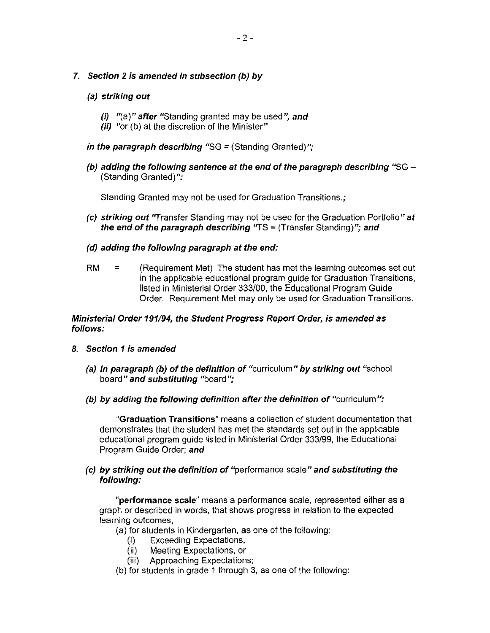## **7. Section 2 is amended in subsection (b) by**

#### **(a) striking out**

- **(i)** "(a)" **after** "Standing granted may be used", **and**
- *(ii)* "or (b) at the discretion of the Minister"
- *in the paragraph describing* "SG = (Standing Granted)";
- **(b) adding the following sentence at the end of the paragraph describing** "SG (Standing Granted)":

Standing Granted may not be used for Graduation Transitions.;

- **(c) striking out** "Transfer Standing may not be used for the Graduation Portfolio" **at the end of the paragraph describing** "TS = (Transfer Standing)"; **and**
- **(d) adding the following paragraph at the end:**
- RM = (Requirement Met) The student has met the learning outcomes set out in the applicable educational program guide for Graduation Transitions, listed in Ministerial Order 333/00, the Educational Program Guide Order. Requirement Met may only be used for Graduation Transitions.

#### **Ministerial Order 191/94, the Student Progress Report Order, is amended as follows:**

- **8. Section 1 is amended** 
	- **(a) in paragraph (b) of the definition of** "curriculum" **by striking out** "school board" **and substituting** "board";
	- **(b) by adding the following definition after the definition of** "curriculum":

**"Graduation Transitions"** means a collection of student documentation that demonstrates that the student has met the standards set out in the applicable educational program guide listed in Ministerial Order 333/99, the Educational Program Guide Order; **and** 

#### **(c) by striking out the definition of** "performance scale" **and substituting the following:**

**"performance scale"** means a performance scale, represented either as a graph or described in words, that shows progress in relation to the expected learning outcomes,

(a) for students in Kindergarten, as one of the following:

- (i) Exceeding Expectations,
- (ii) Meeting Expectations, or
- (iii) Approaching Expectations;
- (b) for students in grade 1 through 3, as one of the following: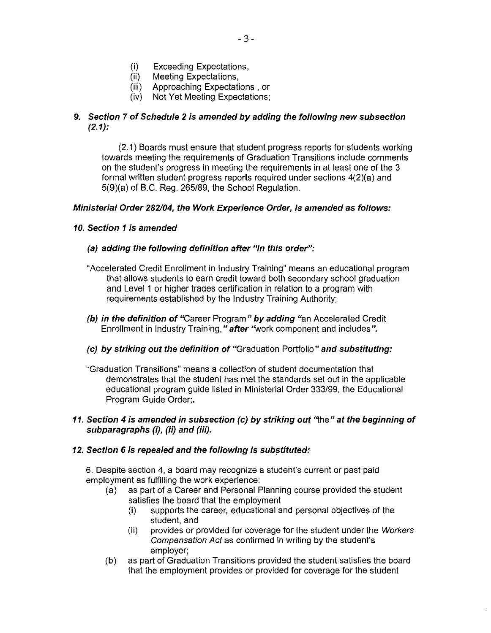- (i) Exceeding Expectations,<br>(ii) Meeting Expectations.
- Meeting Expectations,
- (iii) Approaching Expectations , or
- (iv) Not Yet Meeting Expectations;

# **9. Section 7 of Schedule 2 is amended by adding the following new subsection (2.1):**

(2.1) Boards must ensure that student progress reports for students working towards meeting the requirements of Graduation Transitions include comments on the student's progress in meeting the requirements in at least one of the 3 formal written student progress reports required under sections 4(2)(a) and 5(9)(a) of B.C. Reg. 265/89, the School Regulation.

#### **Ministerial Order 282104, the Work Experience Order, is amended as follows:**

## **10. Section 1 is amended**

#### **(a) adding the following definition after "In this order":**

- "Accelerated Credit Enrollment in Industry Training" means an educational program that allows students to earn credit toward both secondary school graduation and Level 1 or higher trades certification in relation to a program with requirements established by the Industry Training Authority;
- **(b) in the definition of** "Career Program" **by adding** "an Accelerated Credit Enrollment in Industry Training," **after** "work component and includes".
- **(c) by striking out the definition of** "Graduation Portfolio" **and substituting:**
- "Graduation Transitions" means a collection of student documentation that demonstrates that the student has met the standards set out in the applicable educational program guide listed in Ministerial Order 333/99, the Educational Program Guide Order;.

#### **11. Section 4 is amended in subsection (c) by striking out** 'ihe" **at the beginning of subparagraphs (i), (ii) and (iii).**

#### **12. Section 6 is repealed and the following is substituted:**

6. Despite section 4, a board may recognize a student's current or past paid employment as fulfilling the work experience:

- (a) as part of a Career and Personal Planning course provided the student satisfies the board that the employment
	- (i) supports the career, educational and personal objectives of the student, and
	- (ii) provides or provided for coverage for the student under the Workers Compensation Act as confirmed in writing by the student's employer;
- (b) as part of Graduation Transitions provided the student satisfies the board that the employment provides or provided for coverage for the student